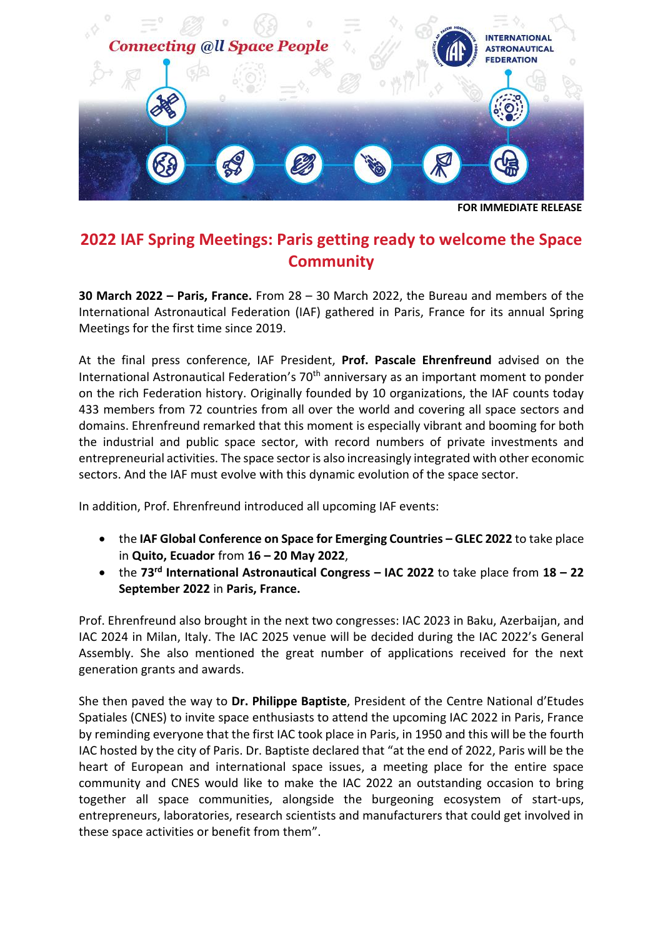

**FOR IMMEDIATE RELEASE**

## **2022 IAF Spring Meetings: Paris getting ready to welcome the Space Community**

**30 March 2022 – Paris, France.** From 28 – 30 March 2022, the Bureau and members of the International Astronautical Federation (IAF) gathered in Paris, France for its annual Spring Meetings for the first time since 2019.

At the final press conference, IAF President, **Prof. Pascale Ehrenfreund** advised on the International Astronautical Federation's 70<sup>th</sup> anniversary as an important moment to ponder on the rich Federation history. Originally founded by 10 organizations, the IAF counts today 433 members from 72 countries from all over the world and covering all space sectors and domains. Ehrenfreund remarked that this moment is especially vibrant and booming for both the industrial and public space sector, with record numbers of private investments and entrepreneurial activities. The space sector is also increasingly integrated with other economic sectors. And the IAF must evolve with this dynamic evolution of the space sector.

In addition, Prof. Ehrenfreund introduced all upcoming IAF events:

- the IAF Global Conference on Space for Emerging Countries GLEC 2022 to take place in **Quito, Ecuador** from **16 – 20 May 2022**,
- the **73rd International Astronautical Congress – IAC 2022** to take place from **18 – 22 September 2022** in **Paris, France.**

Prof. Ehrenfreund also brought in the next two congresses: IAC 2023 in Baku, Azerbaijan, and IAC 2024 in Milan, Italy. The IAC 2025 venue will be decided during the IAC 2022's General Assembly. She also mentioned the great number of applications received for the next generation grants and awards.

She then paved the way to **Dr. Philippe Baptiste**, President of the Centre National d'Etudes Spatiales (CNES) to invite space enthusiasts to attend the upcoming IAC 2022 in Paris, France by reminding everyone that the first IAC took place in Paris, in 1950 and this will be the fourth IAC hosted by the city of Paris. Dr. Baptiste declared that "at the end of 2022, Paris will be the heart of European and international space issues, a meeting place for the entire space community and CNES would like to make the IAC 2022 an outstanding occasion to bring together all space communities, alongside the burgeoning ecosystem of start-ups, entrepreneurs, laboratories, research scientists and manufacturers that could get involved in these space activities or benefit from them".